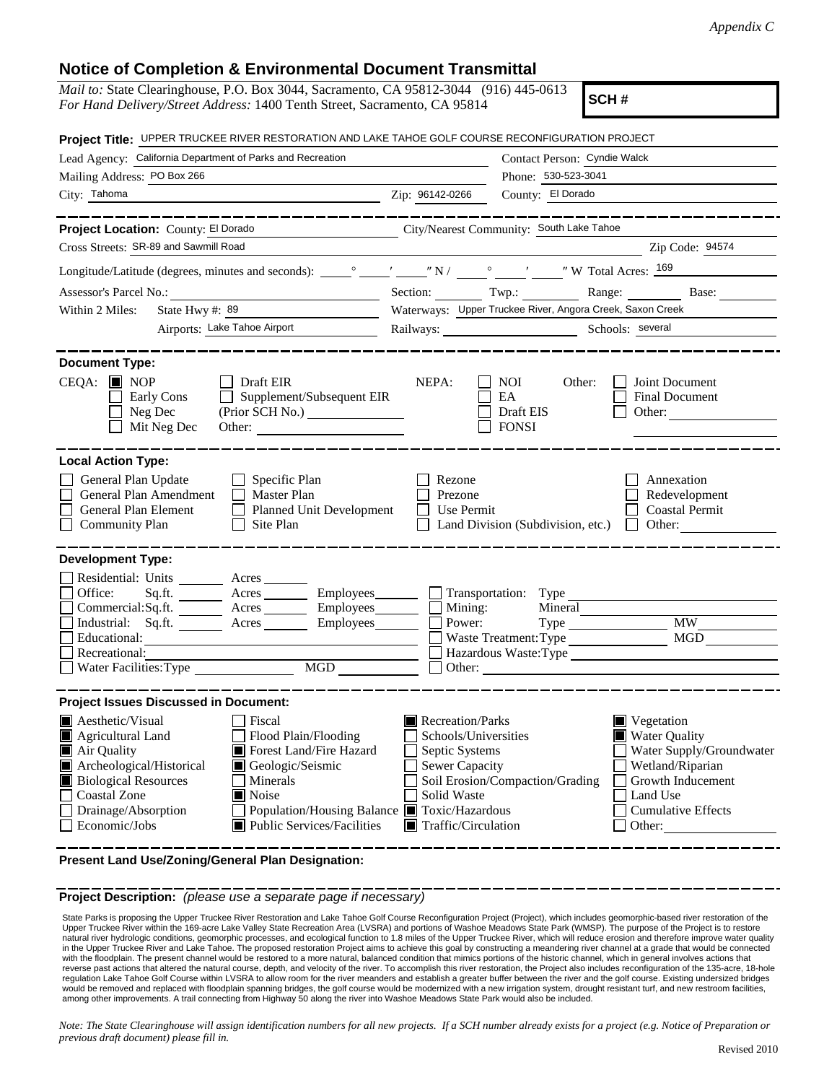## **Notice of Completion & Environmental Document Transmittal**

| nonce or completion a Environmental Document Hanshintar                                                                                                                                                                                                                                                                                                                                                                   |                                                                                                                                                                                                                                                                                                                                    |  |  |  |
|---------------------------------------------------------------------------------------------------------------------------------------------------------------------------------------------------------------------------------------------------------------------------------------------------------------------------------------------------------------------------------------------------------------------------|------------------------------------------------------------------------------------------------------------------------------------------------------------------------------------------------------------------------------------------------------------------------------------------------------------------------------------|--|--|--|
| <i>Mail to:</i> State Clearinghouse, P.O. Box 3044, Sacramento, CA 95812-3044 (916) 445-0613<br>SCH#<br>For Hand Delivery/Street Address: 1400 Tenth Street, Sacramento, CA 95814                                                                                                                                                                                                                                         |                                                                                                                                                                                                                                                                                                                                    |  |  |  |
| Project Title: UPPER TRUCKEE RIVER RESTORATION AND LAKE TAHOE GOLF COURSE RECONFIGURATION PROJECT                                                                                                                                                                                                                                                                                                                         |                                                                                                                                                                                                                                                                                                                                    |  |  |  |
| Lead Agency: California Department of Parks and Recreation                                                                                                                                                                                                                                                                                                                                                                | Contact Person: Cyndie Walck                                                                                                                                                                                                                                                                                                       |  |  |  |
| Mailing Address: PO Box 266                                                                                                                                                                                                                                                                                                                                                                                               | Phone: 530-523-3041                                                                                                                                                                                                                                                                                                                |  |  |  |
| City: Tahoma<br><u>2ip: 96142-0266</u>                                                                                                                                                                                                                                                                                                                                                                                    | County: El Dorado                                                                                                                                                                                                                                                                                                                  |  |  |  |
| ___________<br>Project Location: County: El Dorado                                                                                                                                                                                                                                                                                                                                                                        | City/Nearest Community: South Lake Tahoe                                                                                                                                                                                                                                                                                           |  |  |  |
| Cross Streets: SR-89 and Sawmill Road                                                                                                                                                                                                                                                                                                                                                                                     | Zip Code: 94574                                                                                                                                                                                                                                                                                                                    |  |  |  |
|                                                                                                                                                                                                                                                                                                                                                                                                                           |                                                                                                                                                                                                                                                                                                                                    |  |  |  |
|                                                                                                                                                                                                                                                                                                                                                                                                                           | Section: Twp.: Range: Base:                                                                                                                                                                                                                                                                                                        |  |  |  |
| State Hwy #: 89<br>Within 2 Miles:                                                                                                                                                                                                                                                                                                                                                                                        | Waterways: Upper Truckee River, Angora Creek, Saxon Creek                                                                                                                                                                                                                                                                          |  |  |  |
| Airports: Lake Tahoe Airport                                                                                                                                                                                                                                                                                                                                                                                              | Railways: Schools: Several                                                                                                                                                                                                                                                                                                         |  |  |  |
| <b>Document Type:</b><br>$CEQA:$ MOP<br>$\Box$ Draft EIR<br>$\Box$ Supplement/Subsequent EIR<br>Early Cons<br>$\Box$ Neg Dec<br>(Prior SCH No.)<br>Mit Neg Dec<br>Other:                                                                                                                                                                                                                                                  | NEPA:<br>NOI 11<br>Other:<br>Joint Document<br>Final Document<br>EA<br>Draft EIS<br>Other:<br><b>FONSI</b>                                                                                                                                                                                                                         |  |  |  |
| <b>Local Action Type:</b><br>General Plan Update<br>$\Box$ Specific Plan<br>General Plan Amendment<br>Master Plan<br>Planned Unit Development<br>General Plan Element<br><b>Community Plan</b><br>Site Plan<br>$\mathbf{L}$                                                                                                                                                                                               | Rezone<br>Annexation<br>Prezone<br>Redevelopment<br><b>Coastal Permit</b><br>Use Permit<br>Land Division (Subdivision, etc.)<br>$\Box$ Other:                                                                                                                                                                                      |  |  |  |
| <b>Development Type:</b><br>Residential: Units ________ Acres _______<br>Office:<br>Commercial:Sq.ft. ________ Acres ________ Employees _______ $\Box$<br>Industrial: Sq.ft. _______ Acres ________ Employees _______ $\square$<br>Educational:<br>Recreational:<br>MGD<br>Water Facilities: Type                                                                                                                         | Sq.ft. ________ Acres _________ Employees _______ __ Transportation: Type<br>Mining:<br>Mineral<br><b>MW</b><br>Power:<br>Type<br>Waste Treatment: Type<br>Hazardous Waste: Type<br>Other: $\qquad \qquad$                                                                                                                         |  |  |  |
| <b>Project Issues Discussed in Document:</b><br><b>Aesthetic/Visual</b><br>Fiscal<br>Agricultural Land<br>Flood Plain/Flooding<br>Forest Land/Fire Hazard<br>Air Quality<br>Archeological/Historical<br>Geologic/Seismic<br><b>Biological Resources</b><br>Minerals<br>Coastal Zone<br>Noise<br>Drainage/Absorption<br>Population/Housing Balance ■ Toxic/Hazardous<br>Economic/Jobs<br><b>Public Services/Facilities</b> | Recreation/Parks<br>$\blacksquare$ Vegetation<br>Schools/Universities<br><b>Water Quality</b><br>Water Supply/Groundwater<br>Septic Systems<br>Sewer Capacity<br>Wetland/Riparian<br>Soil Erosion/Compaction/Grading<br>Growth Inducement<br>Solid Waste<br>Land Use<br><b>Cumulative Effects</b><br>Traffic/Circulation<br>Other: |  |  |  |

**Present Land Use/Zoning/General Plan Designation:**

**Project Description:** *(please use a separate page if necessary)*

State Parks is proposing the Upper Truckee River Restoration and Lake Tahoe Golf Course Reconfiguration Project (Project), which includes geomorphic-based river restoration of the<br>Upper Truckee River within the 169-acre La natural river hydrologic conditions, geomorphic processes, and ecological function to 1.8 miles of the Upper Truckee River, which will reduce erosion and therefore improve water quality in the Upper Truckee River and Lake Tahoe. The proposed restoration Project aims to achieve this goal by constructing a meandering river channel at a grade that would be connected with the floodplain. The present channel would be restored to a more natural, balanced condition that mimics portions of the historic channel, which in general involves actions that<br>reverse past actions that altered the na regulation Lake Tahoe Golf Course within LVSRA to allow room for the river meanders and establish a greater buffer between the river and the golf course. Existing undersized bridges would be removed and replaced with floodplain spanning bridges, the golf course would be modernized with a new irrigation system, drought resistant turf, and new restroom facilities, among other improvements. A trail connecting from Highway 50 along the river into Washoe Meadows State Park would also be included.

*Note: The State Clearinghouse will assign identification numbers for all new projects. If a SCH number already exists for a project (e.g. Notice of Preparation or previous draft document) please fill in.*